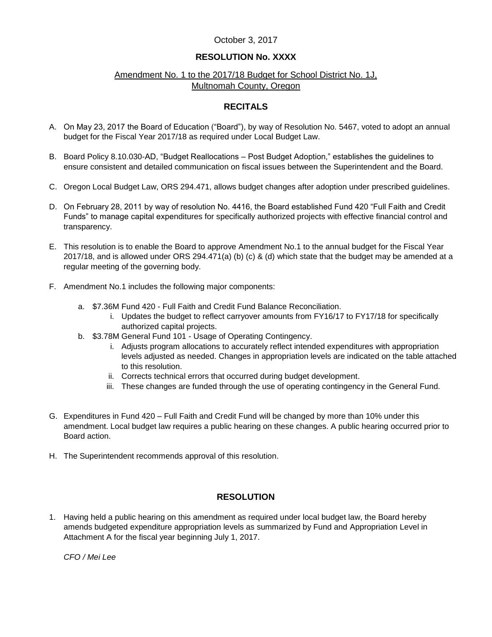## October 3, 2017

# **RESOLUTION No. XXXX**

## Amendment No. 1 to the 2017/18 Budget for School District No. 1J, Multnomah County, Oregon

### **RECITALS**

- A. On May 23, 2017 the Board of Education ("Board"), by way of Resolution No. 5467, voted to adopt an annual budget for the Fiscal Year 2017/18 as required under Local Budget Law.
- B. Board Policy 8.10.030-AD, "Budget Reallocations Post Budget Adoption," establishes the guidelines to ensure consistent and detailed communication on fiscal issues between the Superintendent and the Board.
- C. Oregon Local Budget Law, ORS 294.471, allows budget changes after adoption under prescribed guidelines.
- D. On February 28, 2011 by way of resolution No. 4416, the Board established Fund 420 "Full Faith and Credit Funds" to manage capital expenditures for specifically authorized projects with effective financial control and transparency.
- E. This resolution is to enable the Board to approve Amendment No.1 to the annual budget for the Fiscal Year 2017/18, and is allowed under ORS 294.471(a) (b) (c) & (d) which state that the budget may be amended at a regular meeting of the governing body.
- F. Amendment No.1 includes the following major components:
	- a. \$7.36M Fund 420 Full Faith and Credit Fund Balance Reconciliation.
		- i. Updates the budget to reflect carryover amounts from FY16/17 to FY17/18 for specifically authorized capital projects.
	- b. \$3.78M General Fund 101 Usage of Operating Contingency.
		- i. Adjusts program allocations to accurately reflect intended expenditures with appropriation levels adjusted as needed. Changes in appropriation levels are indicated on the table attached to this resolution.
		- ii. Corrects technical errors that occurred during budget development.
		- iii. These changes are funded through the use of operating contingency in the General Fund.
- G. Expenditures in Fund 420 Full Faith and Credit Fund will be changed by more than 10% under this amendment. Local budget law requires a public hearing on these changes. A public hearing occurred prior to Board action.
- H. The Superintendent recommends approval of this resolution.

## **RESOLUTION**

1. Having held a public hearing on this amendment as required under local budget law, the Board hereby amends budgeted expenditure appropriation levels as summarized by Fund and Appropriation Level in Attachment A for the fiscal year beginning July 1, 2017.

*CFO / Mei Lee*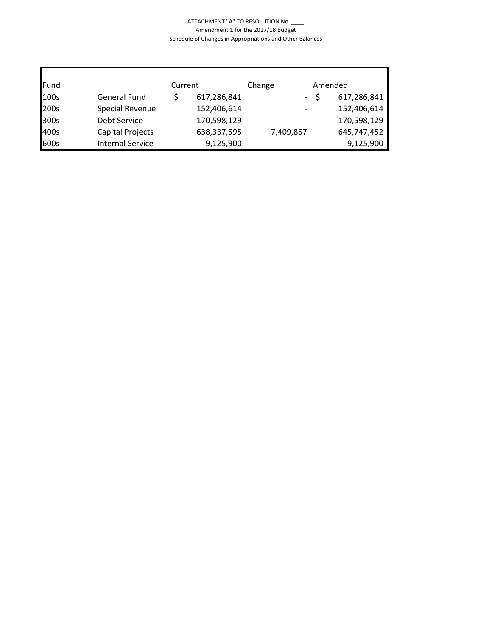#### ATTACHMENT "A" TO RESOLUTION No. \_\_\_\_ Amendment 1 for the 2017/18 Budget Schedule of Changes in Appropriations and Other Balances

| Fund | Current                 |  | Change      | Amended   |  |             |
|------|-------------------------|--|-------------|-----------|--|-------------|
| 100s | <b>General Fund</b>     |  | 617,286,841 | $\sim$    |  | 617,286,841 |
| 200s | Special Revenue         |  | 152,406,614 |           |  | 152,406,614 |
| 300s | <b>Debt Service</b>     |  | 170,598,129 |           |  | 170,598,129 |
| 400s | Capital Projects        |  | 638,337,595 | 7,409,857 |  | 645,747,452 |
| 600s | <b>Internal Service</b> |  | 9,125,900   |           |  | 9,125,900   |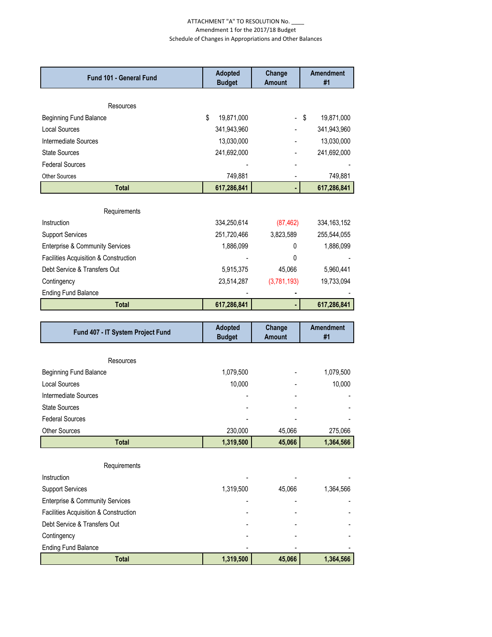#### ATTACHMENT "A" TO RESOLUTION No. \_\_\_\_ Amendment 1 for the 2017/18 Budget Schedule of Changes in Appropriations and Other Balances

| Fund 101 - General Fund                               | <b>Adopted</b><br><b>Budget</b> | Change<br><b>Amount</b> | <b>Amendment</b><br>#1 |
|-------------------------------------------------------|---------------------------------|-------------------------|------------------------|
|                                                       |                                 |                         |                        |
| Resources                                             |                                 |                         |                        |
| <b>Beginning Fund Balance</b>                         | \$<br>19,871,000                |                         | \$<br>19,871,000       |
| <b>Local Sources</b>                                  | 341,943,960                     |                         | 341,943,960            |
| Intermediate Sources                                  | 13,030,000                      |                         | 13,030,000             |
| <b>State Sources</b>                                  | 241,692,000                     |                         | 241,692,000            |
| <b>Federal Sources</b>                                |                                 |                         |                        |
| <b>Other Sources</b>                                  | 749,881                         |                         | 749,881                |
| <b>Total</b>                                          | 617,286,841                     |                         | 617,286,841            |
| Requirements                                          |                                 |                         |                        |
| Instruction                                           | 334,250,614                     | (87, 462)               | 334, 163, 152          |
| <b>Support Services</b>                               | 251,720,466                     | 3,823,589               | 255,544,055            |
| <b>Enterprise &amp; Community Services</b>            | 1,886,099                       | 0                       | 1,886,099              |
| Facilities Acquisition & Construction                 |                                 | 0                       |                        |
| Debt Service & Transfers Out                          | 5,915,375                       | 45,066                  | 5,960,441              |
|                                                       | 23,514,287                      |                         |                        |
| Contingency<br><b>Ending Fund Balance</b>             |                                 | (3,781,193)             | 19,733,094             |
| <b>Total</b>                                          | 617,286,841                     |                         | 617,286,841            |
|                                                       |                                 |                         |                        |
| Fund 407 - IT System Project Fund                     | <b>Adopted</b><br><b>Budget</b> | Change<br><b>Amount</b> | <b>Amendment</b><br>#1 |
|                                                       |                                 |                         |                        |
| Resources                                             |                                 |                         |                        |
| <b>Beginning Fund Balance</b><br><b>Local Sources</b> | 1,079,500                       |                         | 1,079,500              |
| Intermediate Sources                                  | 10,000                          |                         | 10,000                 |
|                                                       |                                 |                         |                        |
|                                                       |                                 |                         |                        |
| <b>State Sources</b>                                  |                                 |                         |                        |
| <b>Federal Sources</b>                                |                                 |                         |                        |
| Other Sources                                         | 230,000                         | 45,066                  | 275,066                |
| <b>Total</b>                                          | 1,319,500                       | 45,066                  | 1,364,566              |
|                                                       |                                 |                         |                        |
| Requirements<br>Instruction                           |                                 |                         |                        |
| <b>Support Services</b>                               | 1,319,500                       | 45,066                  | 1,364,566              |
| <b>Enterprise &amp; Community Services</b>            |                                 |                         |                        |
| Facilities Acquisition & Construction                 |                                 |                         |                        |
| Debt Service & Transfers Out                          |                                 |                         |                        |
| Contingency                                           |                                 |                         |                        |
| <b>Ending Fund Balance</b>                            |                                 |                         |                        |